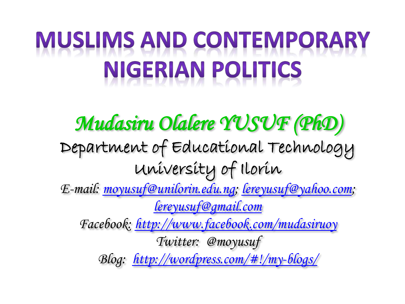# **MUSLIMS AND CONTEMPORARY NIGERIAN POLITICS**

*Mudasiru Olalere YUSUF (PhD)*  Department of Educational Technology University of Ilorin *E-mail: [moyusuf@unilorin.edu.ng](mailto:moyusuf@unilorin.edu.ng); [lereyusuf@yahoo.com](mailto:lereyusuf@yahoo.com); [lereyusuf@gmail.com](mailto:lereyusuf@gmail.com) Facebook:<http://www.facebook.com/mudasiruoy> Twitter: @moyusuf Blog: [http://wordpress.com/#!/my-blogs/](http://wordpress.com/)*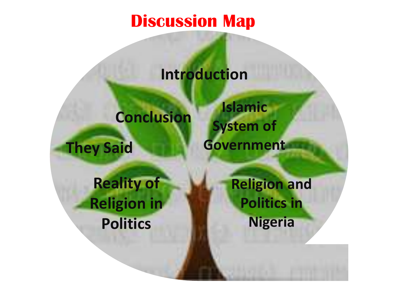#### **Discussion Map**

#### **Introduction**

#### **Conclusion**

**They Said**

**Islamic System of Government**

**Reality of Religion in Politics**

**Religion and Politics in Nigeria**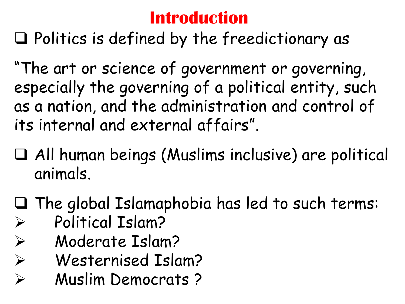#### **Introduction**

 $\Box$  Politics is defined by the freedictionary as

"The art or science of government or governing, especially the governing of a political entity, such as a nation, and the administration and control of its internal and external affairs".

- All human beings (Muslims inclusive) are political animals.
- The global Islamaphobia has led to such terms: Political Islam?
- Moderate Islam?
- Westernised Islam?
- Muslim Democrats ?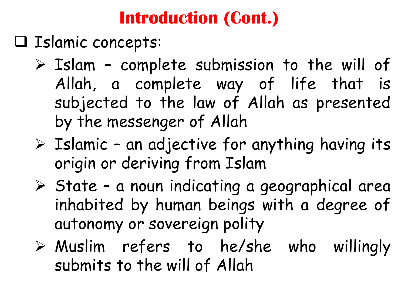#### **Introduction (Cont.)**

- Islamic concepts:
	- $\triangleright$  Islam complete submission to the will of Allah, a complete way of life that is subjected to the law of Allah as presented by the messenger of Allah
	- $\triangleright$  Islamic an adjective for anything having its origin or deriving from Islam
	- $\triangleright$  State a noun indicating a geographical area inhabited by human beings with a degree of autonomy or sovereign polity
	- Muslim refers to he/she who willingly submits to the will of Allah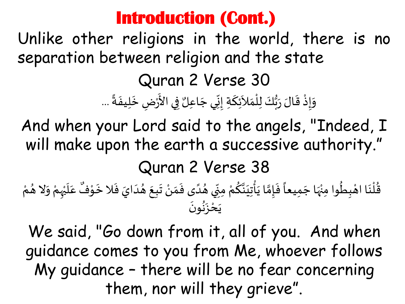#### **Introduction (Cont.)**

Unlike other religions in the world, there is no separation between religion and the state Quran 2 Verse 30 وَإِذْ قَالَ رَبُّكَ لِلْمَلاَئِكَةِ إِنِّي جَاعِلٌ فِي الأَرْضِ خَلِيفَةً ...  $\ddot{\ddot{\cdot}}$  $\ddot{\phantom{0}}$  $\ddot{\phantom{0}}$ ْ<br>ْ ا ا<br>ع  $\overline{\phantom{a}}$  $\frac{1}{2}$  $\frac{1}{2}$ ا<br>م ।<br>र  $\frac{1}{2}$ ؙ<br>۠ َ<br>ء ر<br>م<br>•  $\ddot{\phantom{0}}$  $\frac{1}{2}$ ֦֧֦֧֦֧֦֧<u>֦</u>  $\ddot{\ }$ 

And when your Lord said to the angels, "Indeed, I will make upon the earth a successive authority." Quran 2 Verse 38 ُ عَلَيْهِمْ وَلا هُ  $\frac{1}{2}$ ْ ْ  $\frac{1}{2}$  $\overline{a}$ ٌ قُلْنَا اهْبِطُوا مِنْهَا جَمِيعاً فَإِمَّا يَأْتِيَنَّكُمْ مِنِّي هُدَى فَمَنْ تَبِعَ هُدَايَ فَلا خَوْفٌ عَلَيْهِمْ وَلا هُمْ ֦֧֦֦֧֝<u>֦</u>  $\ddot{\phantom{0}}$  $\ddot{\cdot}$  $\frac{1}{2}$ ๋<br>፝  $\ddot{\phantom{0}}$  $\ddot{\phantom{0}}$ ْ  $\frac{1}{2}$  $\frac{1}{2}$  $\frac{1}{1}$ ُ  $\frac{1}{2}$ ْ ٍ<br>م **َ**ّ  $\frac{1}{2}$ ّْ أ  $\frac{1}{2}$  $\frac{5}{\Omega}$  $\ddot{\cdot}$  $\frac{1}{\sqrt{2}}$  $\overline{\phantom{a}}$ ِ<br>پُر ْ ፟<br>፟ י<br>**֞**  $\ddot{\phantom{0}}$ ់<br>(  $\frac{1}{2}$ ْ ว<br>:<br>• ं<br>,<br>,  $\ddot{\cdot}$ ِ<br>ْ ्<br>-<br>•

يَحْزَنُونَ

We said, "Go down from it, all of you. And when guidance comes to you from Me, whoever follows My guidance – there will be no fear concerning them, nor will they grieve".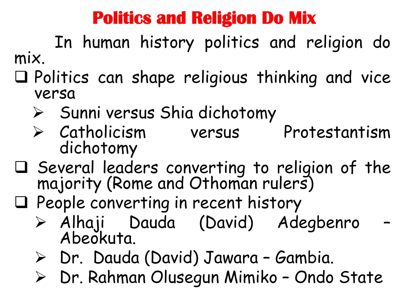#### **Politics and Religion Do Mix**

In human history politics and religion do mix.

- Politics can shape religious thinking and vice versa
	- $\triangleright$  Sunni versus Shia dichotomy
	- > Catholicism versus Protestantism dichotomy
- $\square$  Several leaders converting to religion of the majority (Rome and Othoman rulers)
- $\Box$  People converting in recent history
	- Alhaji Dauda (David) Adegbenro Abeokuta.
	- Dr. Dauda (David) Jawara Gambia.
	- Dr. Rahman Olusegun Mimiko Ondo State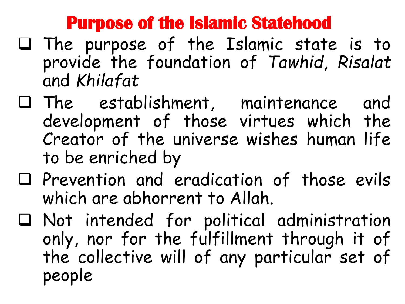#### **Purpose of the Islamic Statehood**

- $\square$  The purpose of the Islamic state is to provide the foundation of *Tawhid*, *Risalat* and *Khilafat*
- The establishment, maintenance and development of those virtues which the Creator of the universe wishes human life to be enriched by
- $\Box$  Prevention and eradication of those evils which are abhorrent to Allah.
- Not intended for political administration only, nor for the fulfillment through it of the collective will of any particular set of people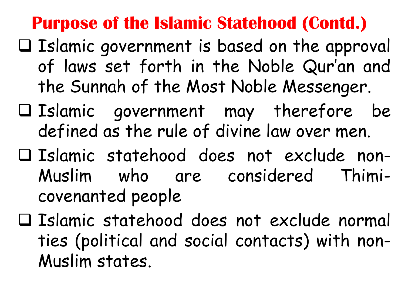#### **Purpose of the Islamic Statehood (Contd.)**

- $\Box$  Islamic government is based on the approval of laws set forth in the Noble Qur'an and the Sunnah of the Most Noble Messenger.
- $\square$  Islamic government may therefore be defined as the rule of divine law over men.
- Islamic statehood does not exclude non-Muslim who are considered Thimicovenanted people
- Islamic statehood does not exclude normal ties (political and social contacts) with non-Muslim states.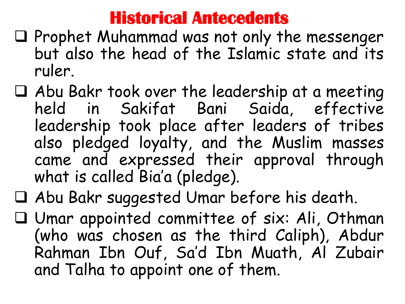#### **Historical Antecedents**

- $\Box$  Prophet Muhammad was not only the messenger but also the head of the Islamic state and its ruler.
- Abu Bakr took over the leadership at a meeting held in Sakifat Bani Saida, effective leadership took place after leaders of tribes also pledged loyalty, and the Muslim masses came and expressed their approval through what is called Bia'a (pledge).
- Abu Bakr suggested Umar before his death.
- Umar appointed committee of six: Ali, Othman (who was chosen as the third Caliph), Abdur Rahman Ibn Ouf, Sa'd Ibn Muath, Al Zubair and Talha to appoint one of them.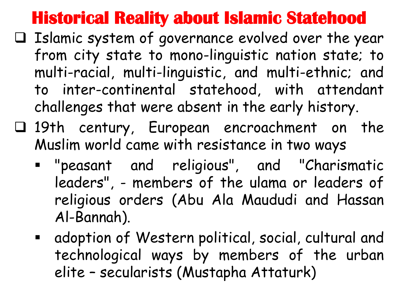#### **Historical Reality about Islamic Statehood**

- $\Box$  Islamic system of governance evolved over the year from city state to mono-linguistic nation state; to multi-racial, multi-linguistic, and multi-ethnic; and to inter-continental statehood, with attendant challenges that were absent in the early history.
- 19th century, European encroachment on the Muslim world came with resistance in two ways
	- "peasant and religious", and "Charismatic leaders", - members of the ulama or leaders of religious orders (Abu Ala Maududi and Hassan Al-Bannah).
	- adoption of Western political, social, cultural and technological ways by members of the urban elite – secularists (Mustapha Attaturk)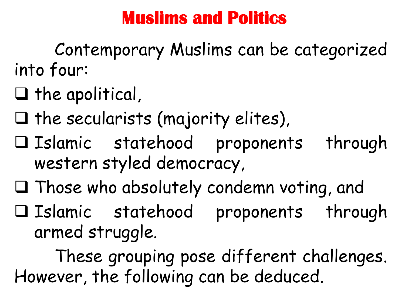#### **Muslims and Politics**

Contemporary Muslims can be categorized into four:

- $\Box$  the apolitical,
- $\Box$  the secularists (majority elites),
- Islamic statehood proponents through western styled democracy,
- $\Box$  Those who absolutely condemn voting, and
- Islamic statehood proponents through armed struggle.

These grouping pose different challenges. However, the following can be deduced.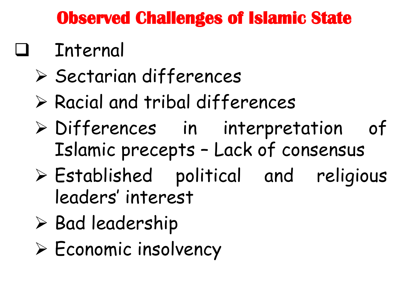#### **Observed Challenges of Islamic State**

# Internal

- $\triangleright$  Sectarian differences
- Racial and tribal differences
- Differences in interpretation of Islamic precepts – Lack of consensus
- Established political and religious leaders' interest
- $\triangleright$  Bad leadership
- $\triangleright$  Economic insolvency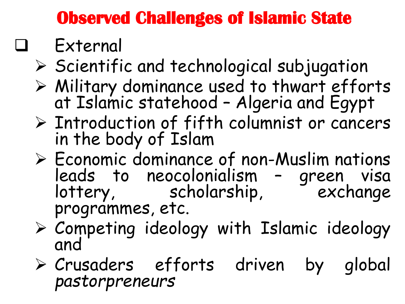### **Observed Challenges of Islamic State**

# External

- $\triangleright$  Scientific and technological subjugation
- Military dominance used to thwart efforts at Islamic statehood – Algeria and Egypt
- $\triangleright$  Introduction of fifth columnist or cancers in the body of Islam
- $\triangleright$  Economic dominance of non-Muslim nations leads to neocolonialism – green visa lottery, scholarship, exchange programmes, etc.
- $\triangleright$  Competing ideology with Islamic ideology and
- Crusaders efforts driven by global *pastorpreneurs*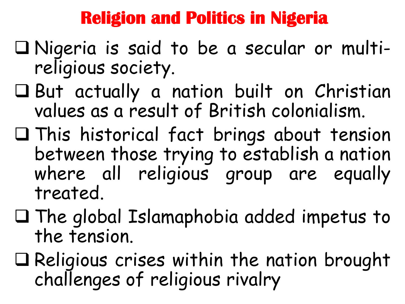#### **Religion and Politics in Nigeria**

- Nigeria is said to be a secular or multireligious society.
- But actually a nation built on Christian values as a result of British colonialism.
- This historical fact brings about tension between those trying to establish a nation where all religious group are equally treated.
- $\Box$  The global Islamaphobia added impetus to the tension.
- $\Box$  Religious crises within the nation brought challenges of religious rivalry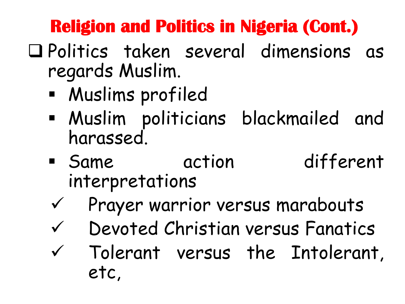## **Religion and Politics in Nigeria (Cont.)**

- Politics taken several dimensions as regards Muslim.
	- Muslims profiled
	- Muslim politicians blackmailed and harassed.
	- **Same** action different interpretations
	- $\checkmark$  Prayer warrior versus marabouts
	- Devoted Christian versus Fanatics
	- $V$  Tolerant versus the Intolerant, etc,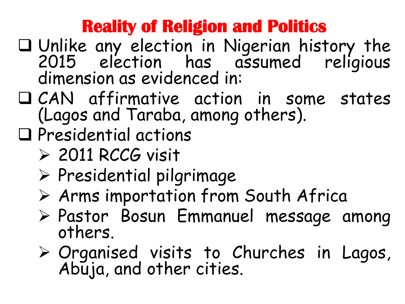#### **Reality of Religion and Politics**

- Unlike any election in Nigerian history the 2015 election has assumed religious dimension as evidenced in:
- CAN affirmative action in some states (Lagos and Taraba, among others).
- Presidential actions
	- $\geq$  2011 RCCG visit
	- $\triangleright$  Presidential pilgrimage
	- Arms importation from South Africa
	- Pastor Bosun Emmanuel message among others.
	- Organised visits to Churches in Lagos, Abuja, and other cities.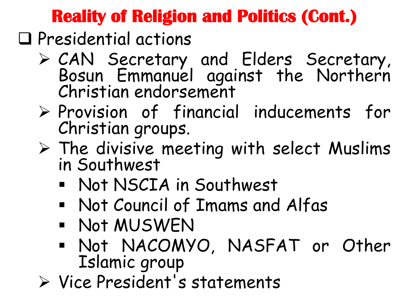#### **Reality of Religion and Politics (Cont.)**

 $\Box$  Presidential actions

- CAN Secretary and Elders Secretary, Bosun Emmanuel against the Northern Christian endorsement
- $\triangleright$  Provision of financial inducements for Christian groups.
- $\triangleright$  The divisive meeting with select Muslims in Southwest
	- Not NSCIA in Southwest
	- Not Council of Imams and Alfas
	- Not MUSWEN
	- Not NACOMYO, NASFAT or Other Islamic group
- Vice President's statements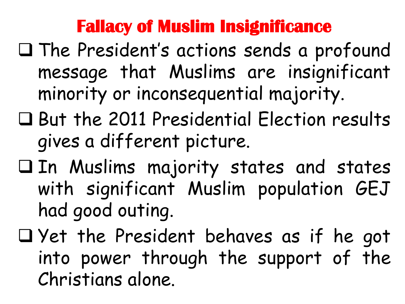#### **Fallacy of Muslim Insignificance**

- $\Box$  The President's actions sends a profound message that Muslims are insignificant minority or inconsequential majority.
- But the 2011 Presidential Election results gives a different picture.
- In Muslims majority states and states with significant Muslim population GEJ had good outing.
- $\Box$  Yet the President behaves as if he got into power through the support of the Christians alone.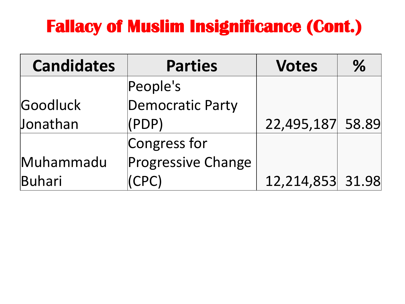#### **Fallacy of Muslim Insignificance (Cont.)**

| <b>Candidates</b> | <b>Parties</b>            | <b>Votes</b>     | $\%$ |
|-------------------|---------------------------|------------------|------|
|                   | People's                  |                  |      |
| Goodluck          | Democratic Party          |                  |      |
| Jonathan          | $(\mathsf{PDP})$          | 22,495,187 58.89 |      |
|                   | Congress for              |                  |      |
| Muhammadu         | <b>Progressive Change</b> |                  |      |
| Buhari            | CPC                       | 12,214,853 31.98 |      |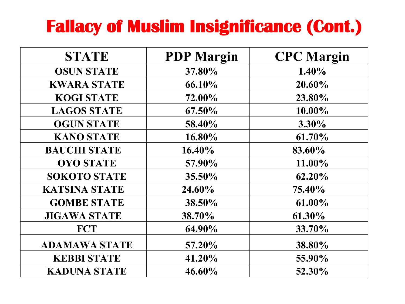#### **Fallacy of Muslim Insignificance (Cont.)**

| <b>STATE</b>         | <b>PDP</b> Margin | <b>CPC</b> Margin |
|----------------------|-------------------|-------------------|
| <b>OSUN STATE</b>    | 37.80%            | $1.40\%$          |
| <b>KWARA STATE</b>   | 66.10%            | 20.60%            |
| <b>KOGI STATE</b>    | 72.00%            | 23.80%            |
| <b>LAGOS STATE</b>   | 67.50%            | 10.00%            |
| <b>OGUN STATE</b>    | 58.40%            | $3.30\%$          |
| <b>KANO STATE</b>    | 16.80%            | 61.70%            |
| <b>BAUCHI STATE</b>  | 16.40%            | 83.60%            |
| <b>OYO STATE</b>     | 57.90%            | 11.00%            |
| <b>SOKOTO STATE</b>  | 35.50%            | 62.20%            |
| <b>KATSINA STATE</b> | 24.60%            | 75.40%            |
| <b>GOMBE STATE</b>   | 38.50%            | 61.00%            |
| <b>JIGAWA STATE</b>  | 38.70%            | 61.30%            |
| <b>FCT</b>           | 64.90%            | 33.70%            |
| <b>ADAMAWA STATE</b> | 57.20%            | 38.80%            |
| <b>KEBBI STATE</b>   | 41.20%            | 55.90%            |
| <b>KADUNA STATE</b>  | 46.60%            | 52.30%            |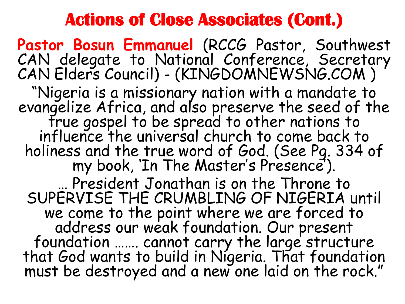#### **Actions of Close Associates (Cont.)**

**Pastor Bosun Emmanuel** (RCCG Pastor, Southwest CAN delegate to National Conference, Secretary CAN Elders Council) - (KINGDOMNEWSNG.COM ) "Nigeria is a missionary nation with a mandate to evangelize Africa, and also preserve the seed of the true gospel to be spread to other nations to influence the universal church to come back to holiness and the true word of God. (See Pg. 334 of my book, 'In The Master's Presence'). … President Jonathan is on the Throne to SUPERVISE THE CRUMBLING OF NIGERIA until we come to the point where we are forced to address our weak foundation. Our present foundation ……. cannot carry the large structure that God wants to build in Nigeria. That foundation must be destroyed and a new one laid on the rock."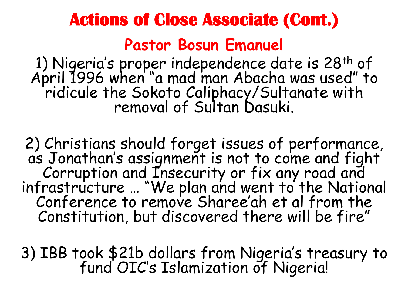# **Actions of Close Associate (Cont.) Pastor Bosun Emanuel**

1) Nigeria's proper independence date is 28<sup>th</sup> of April 1996 when "a mad man Abacha was used" to ridicule the Sokoto Caliphacy/Sultanate with removal of Sultan Dasuki.

2) Christians should forget issues of performance, as Jonathan's assignment is not to come and fight Corruption and Insecurity or fix any road and infrastructure … "We plan and went to the National Conference to remove Sharee'ah et al from the Constitution, but discovered there will be fire"

3) IBB took \$21b dollars from Nigeria's treasury to fund OIC's Islamization of Nigeria!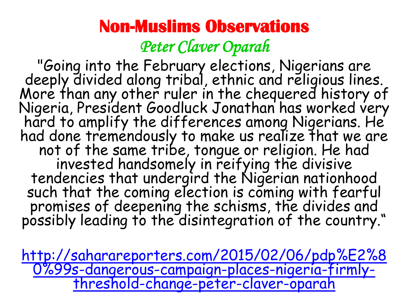#### **Non-Muslims Observations**  *Peter Claver Oparah*

"Going into the February elections, Nigerians are deeply divided along tribal, ethnic and religious lines. More than any other ruler in the chequered history of Nigeria, President Goodluck Jonathan has worked very hard to amplify the differences among Nigerians. He had done tremendously to make us realize that we are not of the same tribe, tongue or religion. He had invested handsomely in reifying the divisive tendencies that undergird the Nigerian nationhood such that the coming election is coming with fearful promises of deepening the schisms, the divides and possibly leading to the disintegration of the country."

[http://saharareporters.com/2015/02/06/pdp%E2%8](http://saharareporters.com/2015/02/06/pdp%E2%80%99s-dangerous-campaign-places-nigeria-firmly-threshold-change-peter-claver-oparah) [0%99s-dangerous-campaign-places-nigeria-firmly](http://saharareporters.com/2015/02/06/pdp%E2%80%99s-dangerous-campaign-places-nigeria-firmly-threshold-change-peter-claver-oparah)[threshold-change-peter-claver-oparah](http://saharareporters.com/2015/02/06/pdp%E2%80%99s-dangerous-campaign-places-nigeria-firmly-threshold-change-peter-claver-oparah)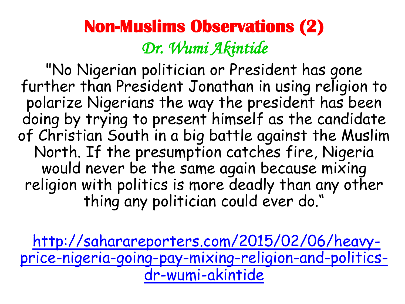#### **Non-Muslims Observations (2)**  *Dr. Wumi Akintide*

"No Nigerian politician or President has gone further than President Jonathan in using religion to polarize Nigerians the way the president has been doing by trying to present himself as the candidate of Christian South in a big battle against the Muslim North. If the presumption catches fire, Nigeria would never be the same again because mixing religion with politics is more deadly than any other thing any politician could ever do."

[http://saharareporters.com/2015/02/06/heavy](http://saharareporters.com/2015/02/06/heavy-price-nigeria-going-pay-mixing-religion-and-politics-dr-wumi-akintide)[price-nigeria-going-pay-mixing-religion-and-politics](http://saharareporters.com/2015/02/06/heavy-price-nigeria-going-pay-mixing-religion-and-politics-dr-wumi-akintide)[dr-wumi-akintide](http://saharareporters.com/2015/02/06/heavy-price-nigeria-going-pay-mixing-religion-and-politics-dr-wumi-akintide)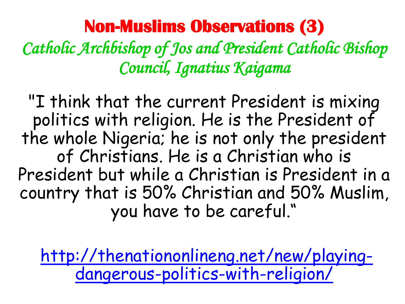#### **Non-Muslims Observations (3)**

*Catholic Archbishop of Jos and President Catholic Bishop Council, Ignatius Kaigama* 

"I think that the current President is mixing politics with religion. He is the President of the whole Nigeria; he is not only the president of Christians. He is a Christian who is President but while a Christian is President in a country that is 50% Christian and 50% Muslim, you have to be careful."

[http://thenationonlineng.net/new/playing](http://thenationonlineng.net/new/playing-dangerous-politics-with-religion/)[dangerous-politics-with-religion/](http://thenationonlineng.net/new/playing-dangerous-politics-with-religion/)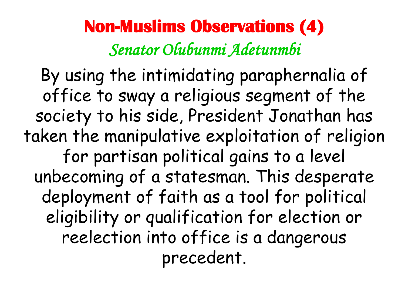#### **Non-Muslims Observations (4)**  *Senator Olubunmi Adetunmbi*

By using the intimidating paraphernalia of office to sway a religious segment of the society to his side, President Jonathan has taken the manipulative exploitation of religion for partisan political gains to a level unbecoming of a statesman. This desperate deployment of faith as a tool for political eligibility or qualification for election or reelection into office is a dangerous precedent.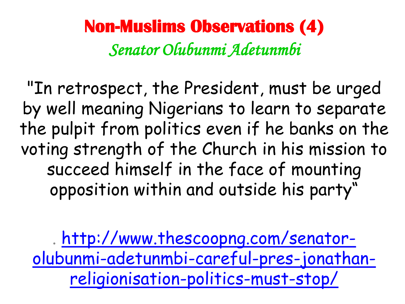**Non-Muslims Observations (4)**  *Senator Olubunmi Adetunmbi* 

"In retrospect, the President, must be urged by well meaning Nigerians to learn to separate the pulpit from politics even if he banks on the voting strength of the Church in his mission to succeed himself in the face of mounting opposition within and outside his party"

. [http://www.thescoopng.com/senator](http://www.thescoopng.com/senator-olubunmi-adetunmbi-careful-pres-jonathan-religionisation-politics-must-stop/)[olubunmi-adetunmbi-careful-pres-jonathan](http://www.thescoopng.com/senator-olubunmi-adetunmbi-careful-pres-jonathan-religionisation-politics-must-stop/)[religionisation-politics-must-stop/](http://www.thescoopng.com/senator-olubunmi-adetunmbi-careful-pres-jonathan-religionisation-politics-must-stop/)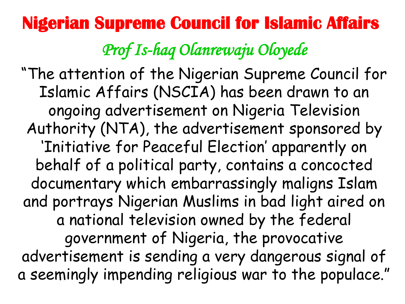# **Nigerian Supreme Council for Islamic Affairs**

*Prof Is-haq Olanrewaju Oloyede* 

"The attention of the Nigerian Supreme Council for Islamic Affairs (NSCIA) has been drawn to an ongoing advertisement on Nigeria Television Authority (NTA), the advertisement sponsored by 'Initiative for Peaceful Election' apparently on behalf of a political party, contains a concocted documentary which embarrassingly maligns Islam and portrays Nigerian Muslims in bad light aired on a national television owned by the federal government of Nigeria, the provocative advertisement is sending a very dangerous signal of a seemingly impending religious war to the populace."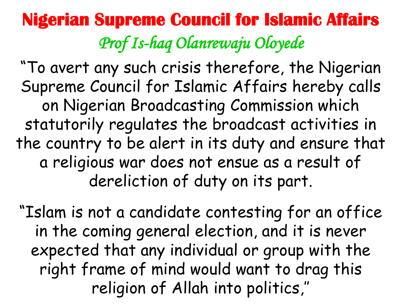### **Nigerian Supreme Council for Islamic Affairs**  *Prof Is-haq Olanrewaju Oloyede*

"To avert any such crisis therefore, the Nigerian Supreme Council for Islamic Affairs hereby calls on Nigerian Broadcasting Commission which statutorily regulates the broadcast activities in the country to be alert in its duty and ensure that a religious war does not ensue as a result of dereliction of duty on its part.

"Islam is not a candidate contesting for an office in the coming general election, and it is never expected that any individual or group with the right frame of mind would want to drag this religion of Allah into politics,''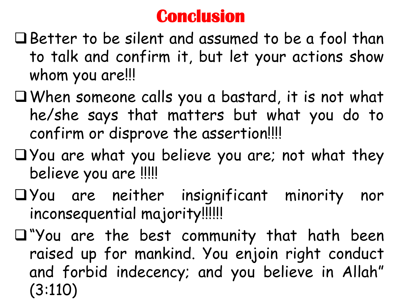#### **Conclusion**

- Better to be silent and assumed to be a fool than to talk and confirm it, but let your actions show whom you are!!!
- When someone calls you a bastard, it is not what he/she says that matters but what you do to confirm or disprove the assertion!!!!
- $\Box$  You are what you believe you are; not what they believe you are !!!!!
- You are neither insignificant minority nor inconsequential majority!!!!!!
- "You are the best community that hath been raised up for mankind. You enjoin right conduct and forbid indecency; and you believe in Allah" (3:110)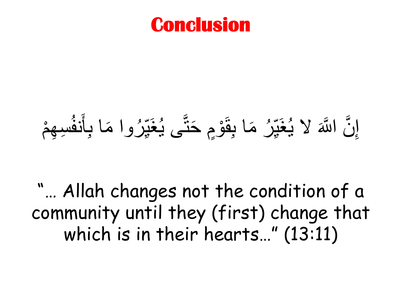#### **Conclusion**

#### إِنَّ اللَّهَ لا يُغَيِّرُ مَا بِقَوْمٍ حَتَّى يُغَيِّرُوا مَا بِأَنفُسِهِمْ ه م ا<br>الا ∫<br>∧  $\sum$ ار ما ū<br>∎ َ ه<br>م  $\tilde{\lambda}$  $\frac{1}{2}$ ار ما نَا<br>ا  $\frac{1}{2}$

"… Allah changes not the condition of a community until they (first) change that which is in their hearts…" (13:11)